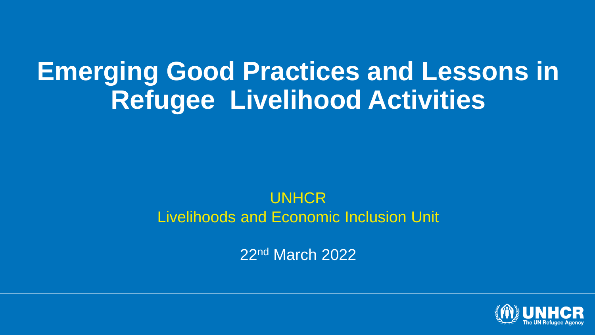## **Emerging Good Practices and Lessons in Refugee Livelihood Activities**

#### UNHCR Livelihoods and Economic Inclusion Unit

22nd March 2022

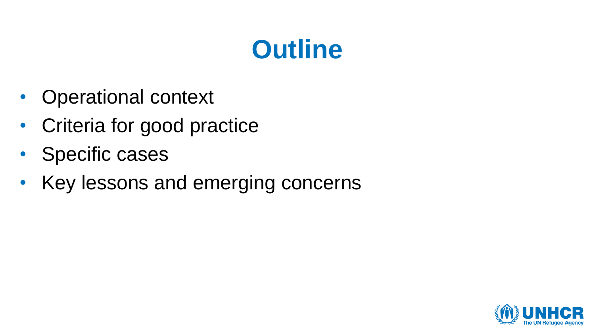## **Outline**

- Operational context
- Criteria for good practice
- Specific cases
- Key lessons and emerging concerns

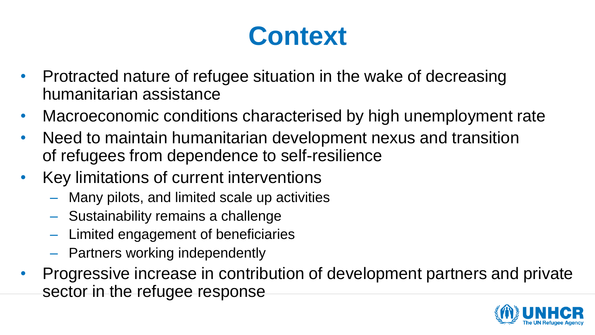## **Context**

- Protracted nature of refugee situation in the wake of decreasing humanitarian assistance
- Macroeconomic conditions characterised by high unemployment rate
- Need to maintain humanitarian development nexus and transition of refugees from dependence to self-resilience
- Key limitations of current interventions
	- Many pilots, and limited scale up activities
	- Sustainability remains a challenge
	- Limited engagement of beneficiaries
	- Partners working independently
- Progressive increase in contribution of development partners and private sector in the refugee response

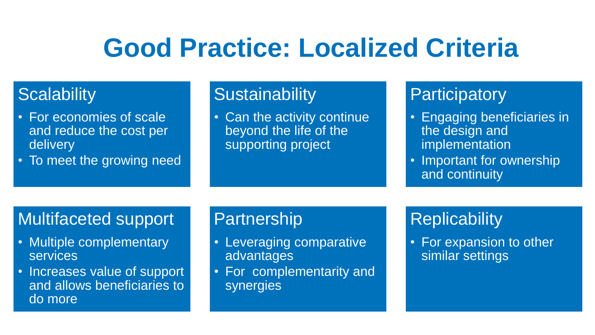## **Good Practice: Localized Criteria**

#### **Scalability**

- For economies of scale and reduce the cost per delivery
- To meet the growing need

#### **Sustainability**

• Can the activity continue beyond the life of the supporting project

#### **Participatory**

- Engaging beneficiaries in the design and implementation
- Important for ownership and continuity

#### Multifaceted support

- Multiple complementary services
- Increases value of support and allows beneficiaries to do more

#### **Partnership**

- Leveraging comparative advantages
- For complementarity and synergies

### **Replicability**

• For expansion to other similar settings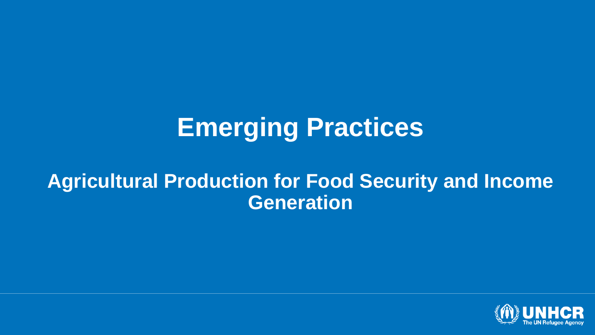## **Emerging Practices**

### **Agricultural Production for Food Security and Income Generation**

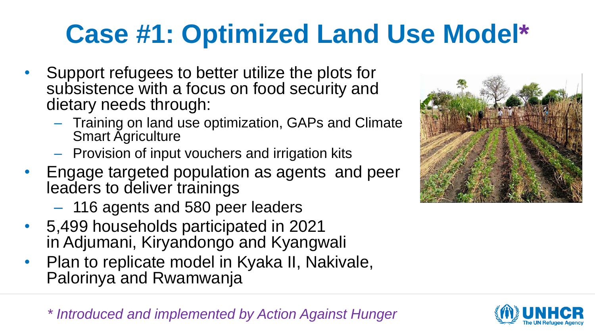# **Case #1: Optimized Land Use Model\***

- Support refugees to better utilize the plots for subsistence with a focus on food security and dietary needs through:
	- Training on land use optimization, GAPs and Climate Smart Agriculture
	- Provision of input vouchers and irrigation kits
- Engage targeted population as agents and peer leaders to deliver trainings
	- 116 agents and 580 peer leaders
- 5,499 households participated in 2021 in Adjumani, Kiryandongo and Kyangwali
- Plan to replicate model in Kyaka II, Nakivale, Palorinya and Rwamwanja

*\* Introduced and implemented by Action Against Hunger*



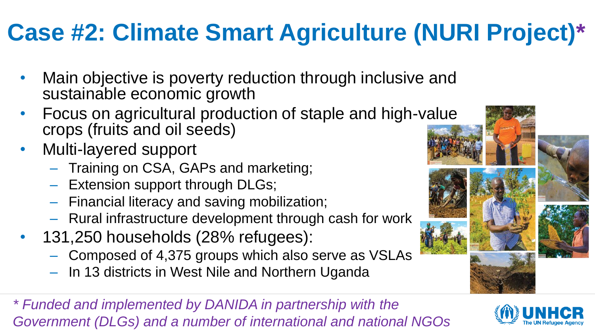## **Case #2: Climate Smart Agriculture (NURI Project)\***

- Main objective is poverty reduction through inclusive and sustainable economic growth
- Focus on agricultural production of staple and high-value crops (fruits and oil seeds)
- Multi-layered support
	- Training on CSA, GAPs and marketing;
	- Extension support through DLGs;
	- Financial literacy and saving mobilization;
	- Rural infrastructure development through cash for work
- 131,250 households (28% refugees):
	- Composed of 4,375 groups which also serve as VSLAs
	- In 13 districts in West Nile and Northern Uganda

*\* Funded and implemented by DANIDA in partnership with the Government (DLGs) and a number of international and national NGOs*

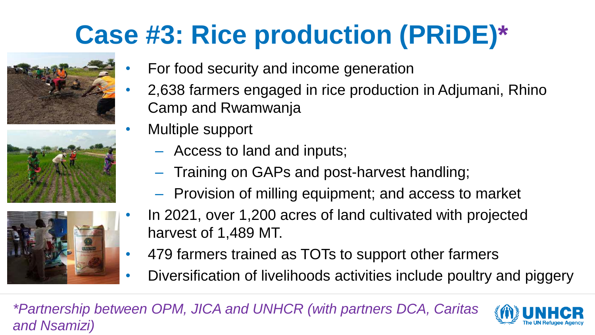# **Case #3: Rice production (PRiDE)\***







- For food security and income generation
- 2,638 farmers engaged in rice production in Adjumani, Rhino Camp and Rwamwanja
- Multiple support
	- Access to land and inputs;
	- Training on GAPs and post-harvest handling;
	- Provision of milling equipment; and access to market
- In 2021, over 1,200 acres of land cultivated with projected harvest of 1,489 MT.
- 479 farmers trained as TOTs to support other farmers
- Diversification of livelihoods activities include poultry and piggery

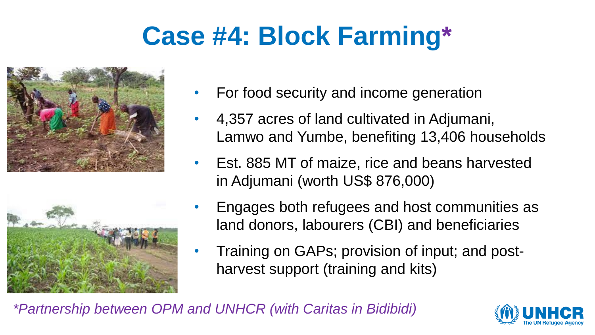## **Case #4: Block Farming\***





- For food security and income generation
- 4,357 acres of land cultivated in Adjumani, Lamwo and Yumbe, benefiting 13,406 households
- Est. 885 MT of maize, rice and beans harvested in Adjumani (worth US\$ 876,000)
- Engages both refugees and host communities as land donors, labourers (CBI) and beneficiaries
- Training on GAPs; provision of input; and postharvest support (training and kits)

*\*Partnership between OPM and UNHCR (with Caritas in Bidibidi)*

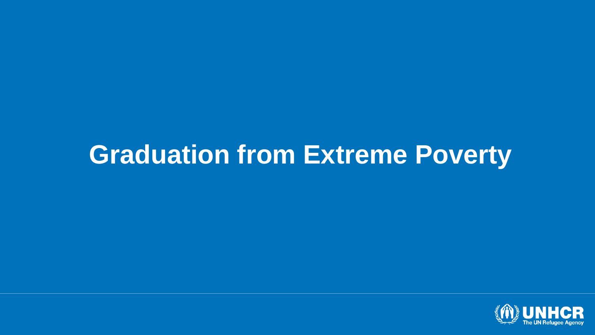## **Graduation from Extreme Poverty**

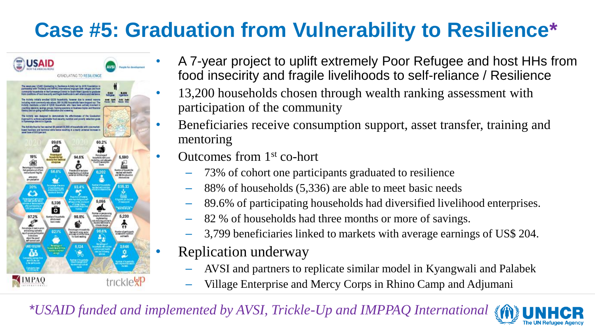### **Case #5: Graduation from Vulnerability to Resilience\***



- A 7-year project to uplift extremely Poor Refugee and host HHs from food insecirity and fragile livelihoods to self-reliance / Resilience
- 13,200 households chosen through wealth ranking assessment with participation of the community
- Beneficiaries receive consumption support, asset transfer, training and mentoring
- Outcomes from 1st co-hort
	- 73% of cohort one participants graduated to resilience
	- 88% of households (5,336) are able to meet basic needs
	- 89.6% of participating households had diversified livelihood enterprises.
	- 82 % of households had three months or more of savings.
	- 3,799 beneficiaries linked to markets with average earnings of US\$ 204.
- Replication underway
	- AVSI and partners to replicate similar model in Kyangwali and Palabek
	- Village Enterprise and Mercy Corps in Rhino Camp and Adjumani

*\*USAID funded and implemented by AVSI, Trickle-Up and IMPPAQ International*

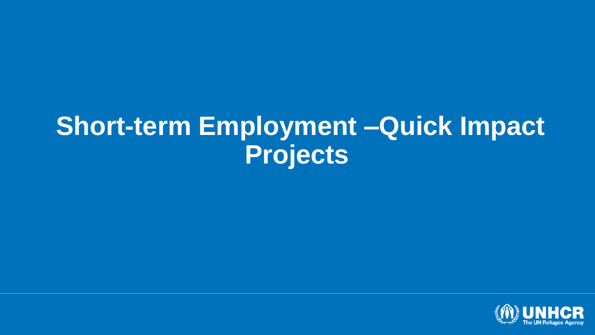### **Short-term Employment –Quick Impact Projects**

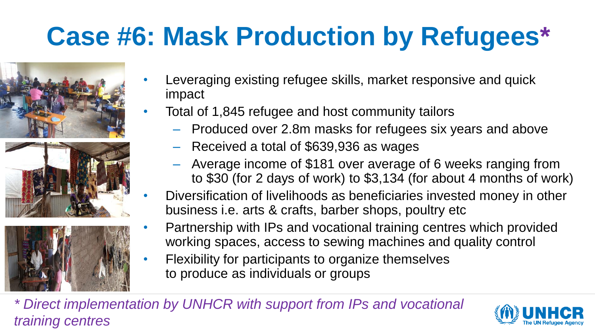# **Case #6: Mask Production by Refugees\***





- Leveraging existing refugee skills, market responsive and quick impact
- Total of 1,845 refugee and host community tailors
	- Produced over 2.8m masks for refugees six years and above
	- Received a total of \$639,936 as wages
	- Average income of \$181 over average of 6 weeks ranging from to \$30 (for 2 days of work) to \$3,134 (for about 4 months of work)
- Diversification of livelihoods as beneficiaries invested money in other business i.e. arts & crafts, barber shops, poultry etc
- Partnership with IPs and vocational training centres which provided working spaces, access to sewing machines and quality control
- Flexibility for participants to organize themselves to produce as individuals or groups

*\* Direct implementation by UNHCR with support from IPs and vocational training centres*

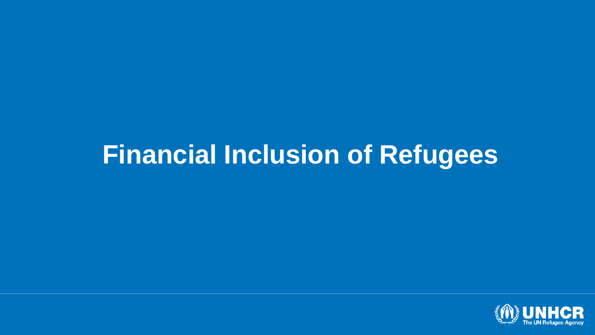## **Financial Inclusion of Refugees**

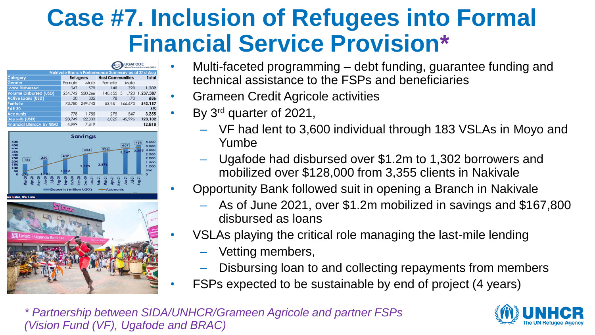### **Case #7. Inclusion of Refugees into Formal Financial Service Provision\***

|                                                    | <b>UGAFODE</b><br>Microfinance Limited (MDD) |                |                         |         |                           |
|----------------------------------------------------|----------------------------------------------|----------------|-------------------------|---------|---------------------------|
| Nakivale Branch Performance Summary as at 31st Aug |                                              |                |                         |         |                           |
| Category                                           | <b>Refugees</b>                              |                | <b>Host Communities</b> |         | Total                     |
| Gender                                             | Female                                       | Male           | Female                  | Male    |                           |
| <b>Loans Disbursed</b>                             | 247                                          | 579            | 148                     | 328     | 1,302                     |
| <b>Volume Disbursed (USD)</b>                      | 234.742 550.266                              |                |                         |         | 140,655 311,723 1,237,387 |
| <b>Active Loans (USD)</b>                          | 130                                          | 305            | 78                      | 173     | 686                       |
| Portfolio                                          |                                              | 72.780 249.743 | 53,961                  | 166.673 | 543,157                   |
| <b>PAR 30</b>                                      |                                              |                |                         |         | $6\%$                     |
| <b>Accounts</b>                                    | 778                                          | 1.755          | 275                     | 547     | 3,355                     |
| <b>Deposits (USD)</b>                              | 23.749                                       | 52.333         | 6.025                   | 45.996  | 128,102                   |
| <b>Financial Literacy by NGO</b>                   | 4,999                                        | 7,819          |                         |         | 12,818                    |





- Multi-faceted programming debt funding, guarantee funding and technical assistance to the FSPs and beneficiaries
- Grameen Credit Agricole activities
- By 3rd quarter of 2021,
	- VF had lent to 3,600 individual through 183 VSLAs in Moyo and Yumbe
	- Ugafode had disbursed over \$1.2m to 1,302 borrowers and mobilized over \$128,000 from 3,355 clients in Nakivale
- Opportunity Bank followed suit in opening a Branch in Nakivale
	- As of June 2021, over \$1.2m mobilized in savings and \$167,800 disbursed as loans
- VSLAs playing the critical role managing the last-mile lending
	- Vetting members,
	- Disbursing loan to and collecting repayments from members
- FSPs expected to be sustainable by end of project (4 years)

*\* Partnership between SIDA/UNHCR/Grameen Agricole and partner FSPs (Vision Fund (VF), Ugafode and BRAC)*

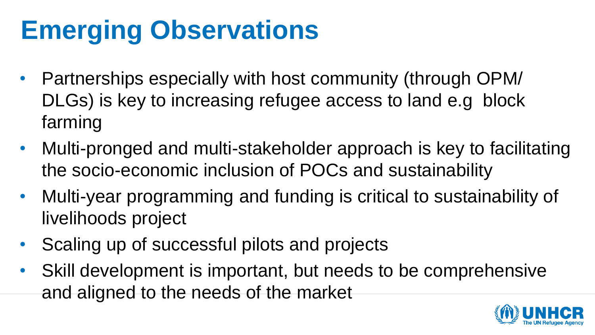# **Emerging Observations**

- Partnerships especially with host community (through OPM/ DLGs) is key to increasing refugee access to land e.g block farming
- Multi-pronged and multi-stakeholder approach is key to facilitating the socio-economic inclusion of POCs and sustainability
- Multi-year programming and funding is critical to sustainability of livelihoods project
- Scaling up of successful pilots and projects
- Skill development is important, but needs to be comprehensive and aligned to the needs of the market